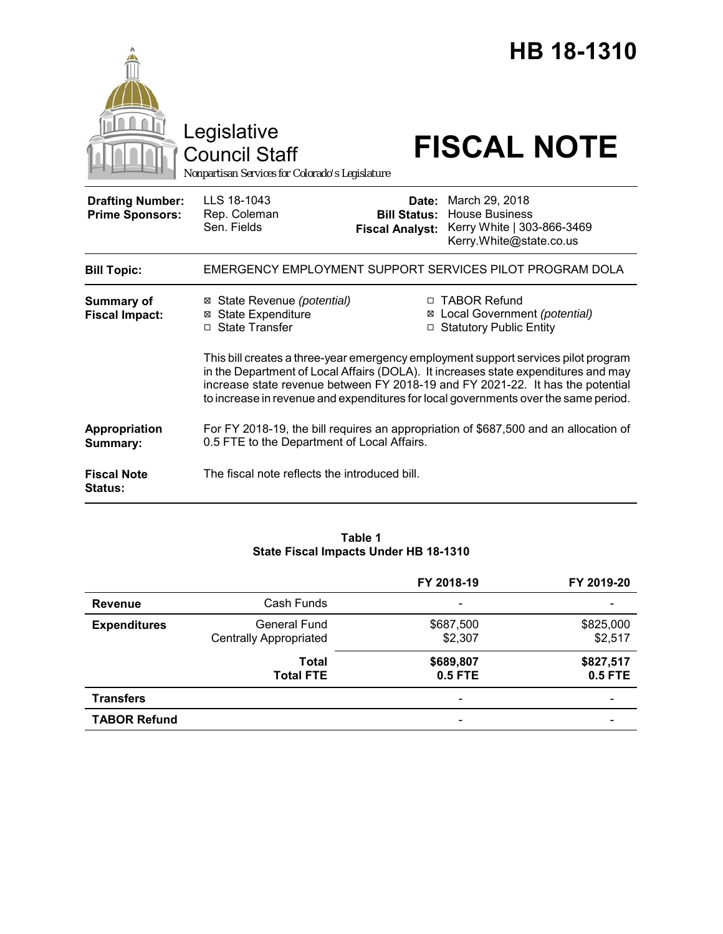|                                                   | Legislative<br><b>Council Staff</b><br>Nonpartisan Services for Colorado's Legislature                                                                                                                                                                                                                                                            |                                                        | HB 18-1310<br><b>FISCAL NOTE</b>                                                                 |  |  |
|---------------------------------------------------|---------------------------------------------------------------------------------------------------------------------------------------------------------------------------------------------------------------------------------------------------------------------------------------------------------------------------------------------------|--------------------------------------------------------|--------------------------------------------------------------------------------------------------|--|--|
| <b>Drafting Number:</b><br><b>Prime Sponsors:</b> | LLS 18-1043<br>Rep. Coleman<br>Sen. Fields                                                                                                                                                                                                                                                                                                        | Date:<br><b>Bill Status:</b><br><b>Fiscal Analyst:</b> | March 29, 2018<br><b>House Business</b><br>Kerry White   303-866-3469<br>Kerry.White@state.co.us |  |  |
| <b>Bill Topic:</b>                                |                                                                                                                                                                                                                                                                                                                                                   |                                                        | EMERGENCY EMPLOYMENT SUPPORT SERVICES PILOT PROGRAM DOLA                                         |  |  |
| Summary of<br><b>Fiscal Impact:</b>               | ⊠ State Revenue (potential)<br><b>⊠</b> State Expenditure<br>□ State Transfer                                                                                                                                                                                                                                                                     | ⊠                                                      | □ TABOR Refund<br>Local Government (potential)<br>□ Statutory Public Entity                      |  |  |
|                                                   | This bill creates a three-year emergency employment support services pilot program<br>in the Department of Local Affairs (DOLA). It increases state expenditures and may<br>increase state revenue between FY 2018-19 and FY 2021-22. It has the potential<br>to increase in revenue and expenditures for local governments over the same period. |                                                        |                                                                                                  |  |  |
| Appropriation<br>Summary:                         | 0.5 FTE to the Department of Local Affairs.                                                                                                                                                                                                                                                                                                       |                                                        | For FY 2018-19, the bill requires an appropriation of \$687,500 and an allocation of             |  |  |
| <b>Fiscal Note</b><br><b>Status:</b>              | The fiscal note reflects the introduced bill.                                                                                                                                                                                                                                                                                                     |                                                        |                                                                                                  |  |  |

### **Table 1 State Fiscal Impacts Under HB 18-1310**

|                     |                                                      | FY 2018-19           | FY 2019-20           |
|---------------------|------------------------------------------------------|----------------------|----------------------|
| <b>Revenue</b>      | Cash Funds                                           |                      |                      |
| <b>Expenditures</b> | <b>General Fund</b><br><b>Centrally Appropriated</b> | \$687,500<br>\$2,307 | \$825,000<br>\$2,517 |
|                     | Total<br><b>Total FTE</b>                            | \$689,807<br>0.5 FTE | \$827,517<br>0.5 FTE |
| <b>Transfers</b>    |                                                      | $\qquad \qquad$      |                      |
| <b>TABOR Refund</b> |                                                      |                      |                      |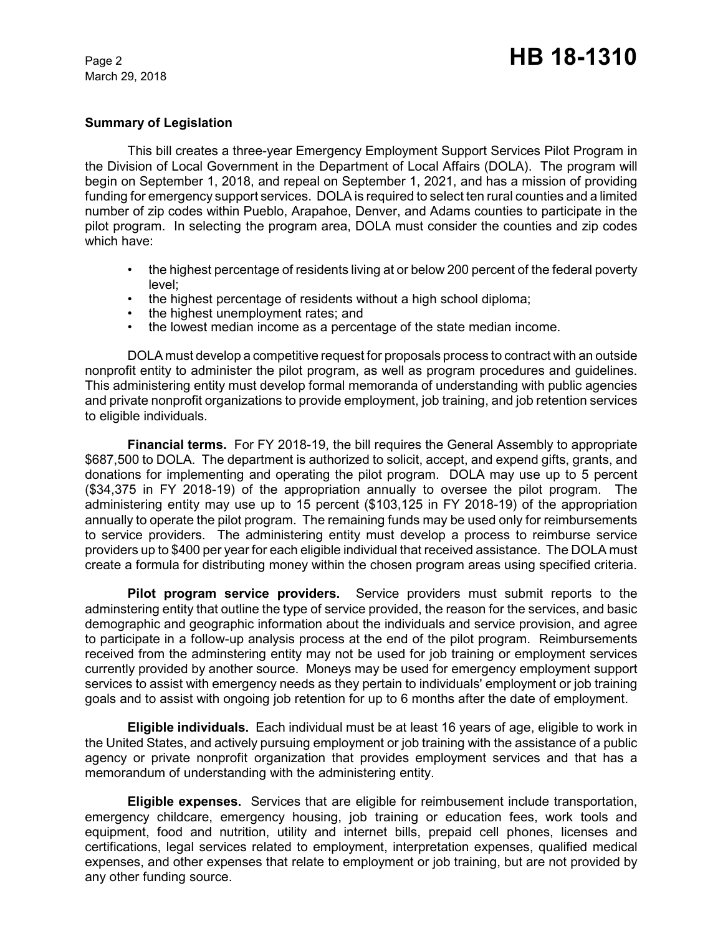March 29, 2018

### **Summary of Legislation**

This bill creates a three-year Emergency Employment Support Services Pilot Program in the Division of Local Government in the Department of Local Affairs (DOLA). The program will begin on September 1, 2018, and repeal on September 1, 2021, and has a mission of providing funding for emergency support services. DOLA is required to select ten rural counties and a limited number of zip codes within Pueblo, Arapahoe, Denver, and Adams counties to participate in the pilot program. In selecting the program area, DOLA must consider the counties and zip codes which have:

- the highest percentage of residents living at or below 200 percent of the federal poverty level;
- the highest percentage of residents without a high school diploma;
- the highest unemployment rates; and
- the lowest median income as a percentage of the state median income.

DOLA must develop a competitive request for proposals process to contract with an outside nonprofit entity to administer the pilot program, as well as program procedures and guidelines. This administering entity must develop formal memoranda of understanding with public agencies and private nonprofit organizations to provide employment, job training, and job retention services to eligible individuals.

**Financial terms.** For FY 2018-19, the bill requires the General Assembly to appropriate \$687,500 to DOLA. The department is authorized to solicit, accept, and expend gifts, grants, and donations for implementing and operating the pilot program. DOLA may use up to 5 percent (\$34,375 in FY 2018-19) of the appropriation annually to oversee the pilot program. The administering entity may use up to 15 percent (\$103,125 in FY 2018-19) of the appropriation annually to operate the pilot program. The remaining funds may be used only for reimbursements to service providers. The administering entity must develop a process to reimburse service providers up to \$400 per year for each eligible individual that received assistance. The DOLA must create a formula for distributing money within the chosen program areas using specified criteria.

**Pilot program service providers.** Service providers must submit reports to the adminstering entity that outline the type of service provided, the reason for the services, and basic demographic and geographic information about the individuals and service provision, and agree to participate in a follow-up analysis process at the end of the pilot program. Reimbursements received from the adminstering entity may not be used for job training or employment services currently provided by another source. Moneys may be used for emergency employment support services to assist with emergency needs as they pertain to individuals' employment or job training goals and to assist with ongoing job retention for up to 6 months after the date of employment.

**Eligible individuals.** Each individual must be at least 16 years of age, eligible to work in the United States, and actively pursuing employment or job training with the assistance of a public agency or private nonprofit organization that provides employment services and that has a memorandum of understanding with the administering entity.

**Eligible expenses.** Services that are eligible for reimbusement include transportation, emergency childcare, emergency housing, job training or education fees, work tools and equipment, food and nutrition, utility and internet bills, prepaid cell phones, licenses and certifications, legal services related to employment, interpretation expenses, qualified medical expenses, and other expenses that relate to employment or job training, but are not provided by any other funding source.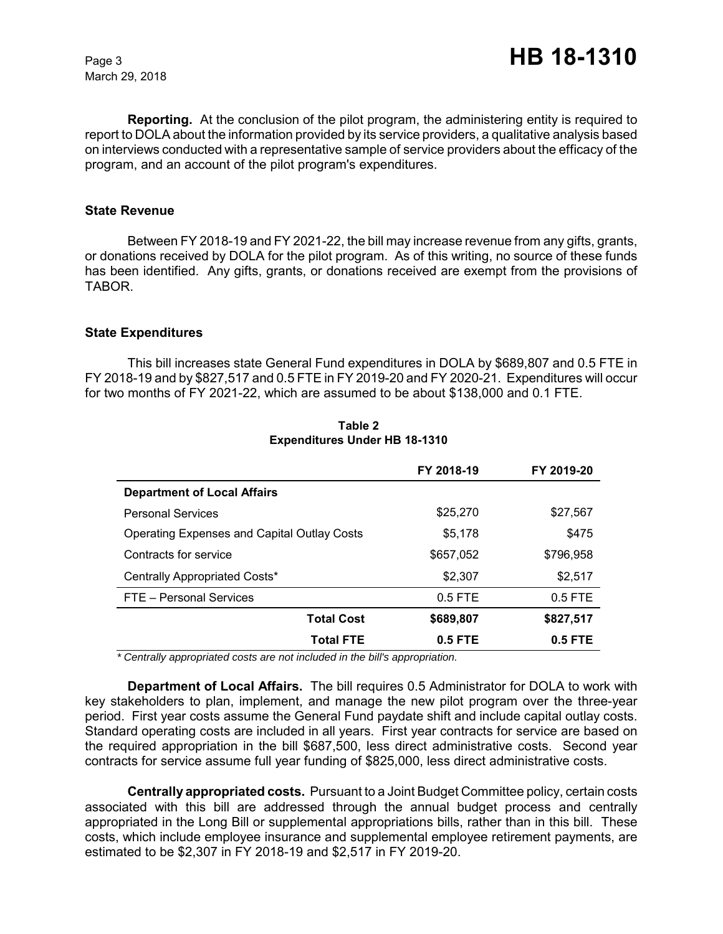March 29, 2018

**Reporting.** At the conclusion of the pilot program, the administering entity is required to report to DOLA about the information provided by its service providers, a qualitative analysis based on interviews conducted with a representative sample of service providers about the efficacy of the program, and an account of the pilot program's expenditures.

#### **State Revenue**

Between FY 2018-19 and FY 2021-22, the bill may increase revenue from any gifts, grants, or donations received by DOLA for the pilot program. As of this writing, no source of these funds has been identified. Any gifts, grants, or donations received are exempt from the provisions of TABOR.

#### **State Expenditures**

This bill increases state General Fund expenditures in DOLA by \$689,807 and 0.5 FTE in FY 2018-19 and by \$827,517 and 0.5 FTE in FY 2019-20 and FY 2020-21. Expenditures will occur for two months of FY 2021-22, which are assumed to be about \$138,000 and 0.1 FTE.

|                                                    | FY 2018-19 | FY 2019-20 |
|----------------------------------------------------|------------|------------|
| <b>Department of Local Affairs</b>                 |            |            |
| <b>Personal Services</b>                           | \$25,270   | \$27,567   |
| <b>Operating Expenses and Capital Outlay Costs</b> | \$5,178    | \$475      |
| Contracts for service                              | \$657,052  | \$796,958  |
| Centrally Appropriated Costs*                      | \$2,307    | \$2,517    |
| FTE - Personal Services                            | $0.5$ FTE  | $0.5$ FTE  |
| <b>Total Cost</b>                                  | \$689,807  | \$827,517  |
| Total FTE                                          | $0.5$ FTE  | $0.5$ FTE  |

**Table 2 Expenditures Under HB 18-1310**

 *\* Centrally appropriated costs are not included in the bill's appropriation.*

**Department of Local Affairs.** The bill requires 0.5 Administrator for DOLA to work with key stakeholders to plan, implement, and manage the new pilot program over the three-year period. First year costs assume the General Fund paydate shift and include capital outlay costs. Standard operating costs are included in all years. First year contracts for service are based on the required appropriation in the bill \$687,500, less direct administrative costs. Second year contracts for service assume full year funding of \$825,000, less direct administrative costs.

**Centrally appropriated costs.** Pursuant to a Joint Budget Committee policy, certain costs associated with this bill are addressed through the annual budget process and centrally appropriated in the Long Bill or supplemental appropriations bills, rather than in this bill. These costs, which include employee insurance and supplemental employee retirement payments, are estimated to be \$2,307 in FY 2018-19 and \$2,517 in FY 2019-20.